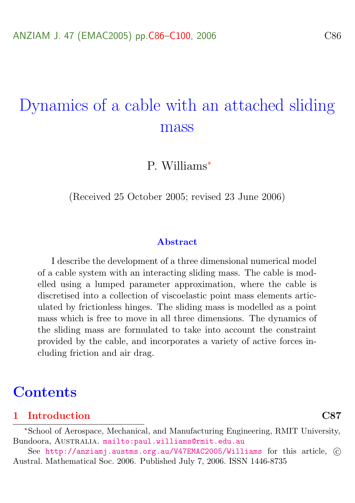# Dynamics of a cable with an attached sliding mass

P. Williams<sup>∗</sup>

(Received 25 October 2005; revised 23 June 2006)

#### Abstract

I describe the development of a three dimensional numerical model of a cable system with an interacting sliding mass. The cable is modelled using a lumped parameter approximation, where the cable is discretised into a collection of viscoelastic point mass elements articulated by frictionless hinges. The sliding mass is modelled as a point mass which is free to move in all three dimensions. The dynamics of the sliding mass are formulated to take into account the constraint provided by the cable, and incorporates a variety of active forces including friction and air drag.

## **Contents**

#### [1 Introduction](#page-1-0) C87

<sup>∗</sup>School of Aerospace, Mechanical, and Manufacturing Engineering, RMIT University, Bundoora, Australia. <mailto:paul.williams@rmit.edu.au>

See <http://anziamj.austms.org.au/V47EMAC2005/Williams> for this article,  $\odot$ Austral. Mathematical Soc. 2006. Published July 7, 2006. ISSN 1446-8735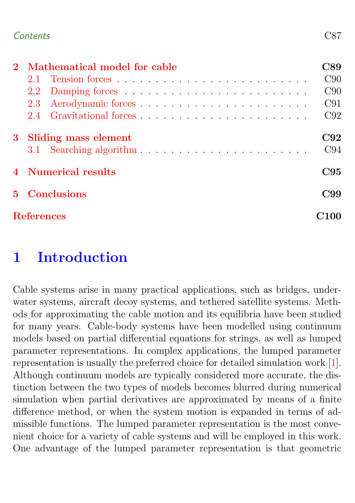### <span id="page-1-1"></span>Contents C87

| 2 Mathematical model for cable | 389        |
|--------------------------------|------------|
|                                | C90        |
|                                | C90        |
|                                | C91        |
|                                | C92        |
| 3 Sliding mass element         | C92<br>C94 |
| 4 Numerical results            | C95        |
| 5 Conclusions                  | C99        |
| <b>References</b>              | ൜          |

## <span id="page-1-0"></span>1 Introduction

Cable systems arise in many practical applications, such as bridges, underwater systems, aircraft decoy systems, and tethered satellite systems. Methods for approximating the cable motion and its equilibria have been studied for many years. Cable-body systems have been modelled using continuum models based on partial differential equations for strings, as well as lumped parameter representations. In complex applications, the lumped parameter representation is usually the preferred choice for detailed simulation work [\[1\]](#page-14-1). Although continuum models are typically considered more accurate, the distinction between the two types of models becomes blurred during numerical simulation when partial derivatives are approximated by means of a finite difference method, or when the system motion is expanded in terms of admissible functions. The lumped parameter representation is the most convenient choice for a variety of cable systems and will be employed in this work. One advantage of the lumped parameter representation is that geometric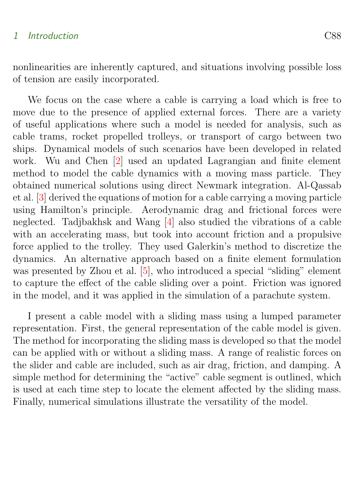#### <span id="page-2-1"></span>1 Introduction C88

nonlinearities are inherently captured, and situations involving possible loss of tension are easily incorporated.

We focus on the case where a cable is carrying a load which is free to move due to the presence of applied external forces. There are a variety of useful applications where such a model is needed for analysis, such as cable trams, rocket propelled trolleys, or transport of cargo between two ships. Dynamical models of such scenarios have been developed in related work. Wu and Chen [\[2\]](#page-14-2) used an updated Lagrangian and finite element method to model the cable dynamics with a moving mass particle. They obtained numerical solutions using direct Newmark integration. Al-Qassab et al. [\[3\]](#page-14-3) derived the equations of motion for a cable carrying a moving particle using Hamilton's principle. Aerodynamic drag and frictional forces were neglected. Tadjbakhsk and Wang [\[4\]](#page-14-4) also studied the vibrations of a cable with an accelerating mass, but took into account friction and a propulsive force applied to the trolley. They used Galerkin's method to discretize the dynamics. An alternative approach based on a finite element formulation was presented by Zhou et al. [\[5\]](#page-14-5), who introduced a special "sliding" element to capture the effect of the cable sliding over a point. Friction was ignored in the model, and it was applied in the simulation of a parachute system.

<span id="page-2-0"></span>I present a cable model with a sliding mass using a lumped parameter representation. First, the general representation of the cable model is given. The method for incorporating the sliding mass is developed so that the model can be applied with or without a sliding mass. A range of realistic forces on the slider and cable are included, such as air drag, friction, and damping. A simple method for determining the "active" cable segment is outlined, which is used at each time step to locate the element affected by the sliding mass. Finally, numerical simulations illustrate the versatility of the model.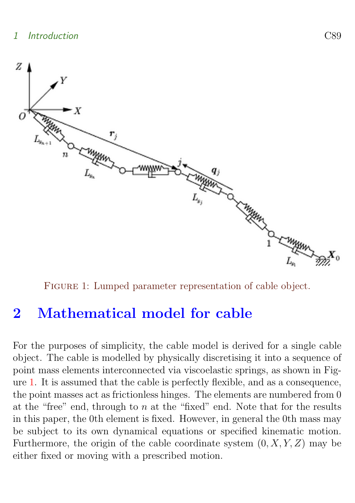

<span id="page-3-0"></span>FIGURE 1: Lumped parameter representation of cable object.

## 2 Mathematical model for cable

For the purposes of simplicity, the cable model is derived for a single cable object. The cable is modelled by physically discretising it into a sequence of point mass elements interconnected via viscoelastic springs, as shown in Figure [1.](#page-3-0) It is assumed that the cable is perfectly flexible, and as a consequence, the point masses act as frictionless hinges. The elements are numbered from 0 at the "free" end, through to  $n$  at the "fixed" end. Note that for the results in this paper, the 0th element is fixed. However, in general the 0th mass may be subject to its own dynamical equations or specified kinematic motion. Furthermore, the origin of the cable coordinate system  $(0, X, Y, Z)$  may be either fixed or moving with a prescribed motion.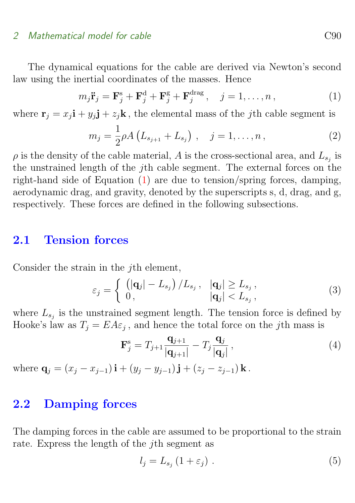#### 2 Mathematical model for cable C90

The dynamical equations for the cable are derived via Newton's second law using the inertial coordinates of the masses. Hence

$$
m_j \ddot{\mathbf{r}}_j = \mathbf{F}_j^{\rm s} + \mathbf{F}_j^{\rm d} + \mathbf{F}_j^{\rm g} + \mathbf{F}_j^{\rm drag}, \quad j = 1, \dots, n, \tag{1}
$$

where  $\mathbf{r}_j = x_j \mathbf{i} + y_j \mathbf{j} + z_j \mathbf{k}$ , the elemental mass of the *j*th cable segment is

<span id="page-4-2"></span>
$$
m_j = \frac{1}{2}\rho A \left( L_{s_{j+1}} + L_{s_j} \right) , \quad j = 1, \dots, n , \tag{2}
$$

 $\rho$  is the density of the cable material, A is the cross-sectional area, and  $L_{s_j}$  is the unstrained length of the jth cable segment. The external forces on the right-hand side of Equation [\(1\)](#page-4-2) are due to tension/spring forces, damping, aerodynamic drag, and gravity, denoted by the superscripts s, d, drag, and g, respectively. These forces are defined in the following subsections.

### <span id="page-4-0"></span>2.1 Tension forces

Consider the strain in the *j*th element,

$$
\varepsilon_j = \begin{cases} \left( |\mathbf{q}_j| - L_{s_j} \right) / L_{s_j}, & |\mathbf{q}_j| \ge L_{s_j}, \\ 0, & |\mathbf{q}_j| < L_{s_j}, \end{cases}
$$
 (3)

where  $L_{s_j}$  is the unstrained segment length. The tension force is defined by Hooke's law as  $T_j = EA\varepsilon_j$ , and hence the total force on the j<sup>th</sup> mass is

<span id="page-4-4"></span>
$$
\mathbf{F}_j^{\rm s} = T_{j+1} \frac{\mathbf{q}_{j+1}}{|\mathbf{q}_{j+1}|} - T_j \frac{\mathbf{q}_j}{|\mathbf{q}_j|},\tag{4}
$$

where  $\mathbf{q}_i = (x_i - x_{i-1})\mathbf{i} + (y_i - y_{i-1})\mathbf{j} + (z_i - z_{i-1})\mathbf{k}$ .

### <span id="page-4-1"></span>2.2 Damping forces

The damping forces in the cable are assumed to be proportional to the strain rate. Express the length of the jth segment as

<span id="page-4-3"></span>
$$
l_j = L_{s_j} \left( 1 + \varepsilon_j \right) \,. \tag{5}
$$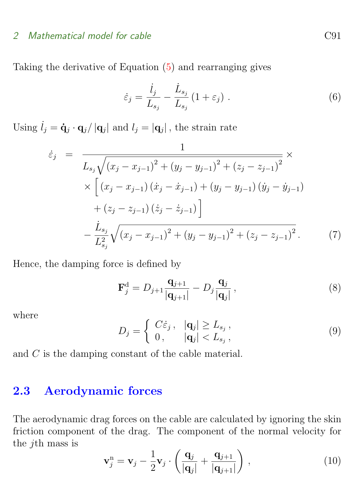#### 2 Mathematical model for cable C91

Taking the derivative of Equation [\(5\)](#page-4-3) and rearranging gives

$$
\dot{\varepsilon}_j = \frac{\dot{l}_j}{L_{s_j}} - \frac{\dot{L}_{s_j}}{L_{s_j}} \left( 1 + \varepsilon_j \right) . \tag{6}
$$

Using  $\dot{l}_j = \dot{\mathbf{q}}_j \cdot \mathbf{q}_j / |\mathbf{q}_j|$  and  $l_j = |\mathbf{q}_j|$ , the strain rate

$$
\dot{\varepsilon}_{j} = \frac{1}{L_{s_{j}}\sqrt{(x_{j}-x_{j-1})^{2}+(y_{j}-y_{j-1})^{2}+(z_{j}-z_{j-1})^{2}}} \times \left[\left(x_{j}-x_{j-1}\right)\left(\dot{x}_{j}-\dot{x}_{j-1}\right)+\left(y_{j}-y_{j-1}\right)\left(\dot{y}_{j}-\dot{y}_{j-1}\right)\right] + \left(z_{j}-z_{j-1}\right)\left(\dot{z}_{j}-\dot{z}_{j-1}\right)\left.\right] - \frac{\dot{L}_{s_{j}}}{L_{s_{j}}^{2}}\sqrt{\left(x_{j}-x_{j-1}\right)^{2}+\left(y_{j}-y_{j-1}\right)^{2}+\left(z_{j}-z_{j-1}\right)^{2}}.\tag{7}
$$

Hence, the damping force is defined by

$$
\mathbf{F}_{j}^{\mathrm{d}} = D_{j+1} \frac{\mathbf{q}_{j+1}}{|\mathbf{q}_{j+1}|} - D_{j} \frac{\mathbf{q}_{j}}{|\mathbf{q}_{j}|}, \qquad (8)
$$

where

$$
D_j = \begin{cases} C\dot{\varepsilon}_j, & |\mathbf{q}_j| \ge L_{s_j}, \\ 0, & |\mathbf{q}_j| < L_{s_j}, \end{cases}
$$
 (9)

and C is the damping constant of the cable material.

## <span id="page-5-0"></span>2.3 Aerodynamic forces

The aerodynamic drag forces on the cable are calculated by ignoring the skin friction component of the drag. The component of the normal velocity for the jth mass is

$$
\mathbf{v}_j^n = \mathbf{v}_j - \frac{1}{2} \mathbf{v}_j \cdot \left( \frac{\mathbf{q}_j}{|\mathbf{q}_j|} + \frac{\mathbf{q}_{j+1}}{|\mathbf{q}_{j+1}|} \right), \qquad (10)
$$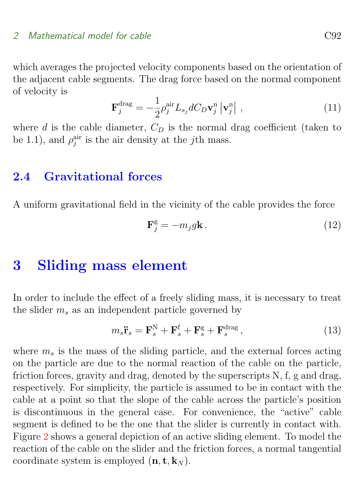#### 2 Mathematical model for cable C92

which averages the projected velocity components based on the orientation of the adjacent cable segments. The drag force based on the normal component of velocity is

$$
\mathbf{F}_{j}^{\text{drag}} = -\frac{1}{2}\rho_{j}^{\text{air}}L_{s_{j}}dC_{D}\mathbf{v}_{j}^{\text{n}}\left|\mathbf{v}_{j}^{\text{n}}\right|,\tag{11}
$$

where d is the cable diameter,  $C_D$  is the normal drag coefficient (taken to be 1.1), and  $\rho_j^{\text{air}}$  is the air density at the *j*th mass.

### <span id="page-6-0"></span>2.4 Gravitational forces

A uniform gravitational field in the vicinity of the cable provides the force

$$
\mathbf{F}_j^{\text{g}} = -m_j g \mathbf{k} \,. \tag{12}
$$

## <span id="page-6-1"></span>3 Sliding mass element

In order to include the effect of a freely sliding mass, it is necessary to treat the slider  $m_s$  as an independent particle governed by

$$
m_s \ddot{\mathbf{r}}_s = \mathbf{F}_s^{\mathcal{N}} + \mathbf{F}_s^{\mathcal{f}} + \mathbf{F}_s^{\mathcal{g}} + \mathbf{F}_s^{\text{drag}},\tag{13}
$$

where  $m<sub>s</sub>$  is the mass of the sliding particle, and the external forces acting on the particle are due to the normal reaction of the cable on the particle, friction forces, gravity and drag, denoted by the superscripts N, f, g and drag, respectively. For simplicity, the particle is assumed to be in contact with the cable at a point so that the slope of the cable across the particle's position is discontinuous in the general case. For convenience, the "active" cable segment is defined to be the one that the slider is currently in contact with. Figure [2](#page-7-0) shows a general depiction of an active sliding element. To model the reaction of the cable on the slider and the friction forces, a normal tangential coordinate system is employed  $(n, t, k_N)$ .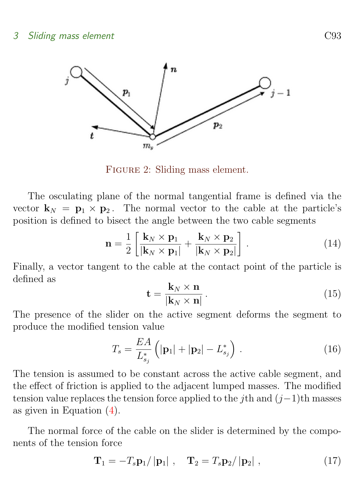#### 3 Sliding mass element C93



<span id="page-7-0"></span>Figure 2: Sliding mass element.

The osculating plane of the normal tangential frame is defined via the vector  $\mathbf{k}_N = \mathbf{p}_1 \times \mathbf{p}_2$ . The normal vector to the cable at the particle's position is defined to bisect the angle between the two cable segments

$$
\mathbf{n} = \frac{1}{2} \left[ \frac{\mathbf{k}_N \times \mathbf{p}_1}{|\mathbf{k}_N \times \mathbf{p}_1|} + \frac{\mathbf{k}_N \times \mathbf{p}_2}{|\mathbf{k}_N \times \mathbf{p}_2|} \right].
$$
 (14)

Finally, a vector tangent to the cable at the contact point of the particle is defined as

<span id="page-7-2"></span><span id="page-7-1"></span>
$$
\mathbf{t} = \frac{\mathbf{k}_N \times \mathbf{n}}{|\mathbf{k}_N \times \mathbf{n}|}.
$$
 (15)

The presence of the slider on the active segment deforms the segment to produce the modified tension value

$$
T_s = \frac{EA}{L_{s_j}^*} \left( |\mathbf{p}_1| + |\mathbf{p}_2| - L_{s_j}^* \right) . \tag{16}
$$

The tension is assumed to be constant across the active cable segment, and the effect of friction is applied to the adjacent lumped masses. The modified tension value replaces the tension force applied to the *j*th and  $(j-1)$ th masses as given in Equation [\(4\)](#page-4-4).

The normal force of the cable on the slider is determined by the components of the tension force

$$
\mathbf{T}_1 = -T_s \mathbf{p}_1 / |\mathbf{p}_1| \ , \quad \mathbf{T}_2 = T_s \mathbf{p}_2 / |\mathbf{p}_2| \ , \tag{17}
$$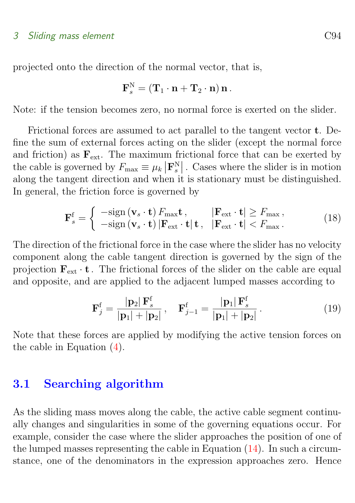#### 3 Sliding mass element C94

projected onto the direction of the normal vector, that is,

$$
\mathbf{F}_s^{\mathrm{N}} = (\mathbf{T}_1 \cdot \mathbf{n} + \mathbf{T}_2 \cdot \mathbf{n}) \, \mathbf{n} \, .
$$

Note: if the tension becomes zero, no normal force is exerted on the slider.

Frictional forces are assumed to act parallel to the tangent vector t. Define the sum of external forces acting on the slider (except the normal force and friction) as  $\mathbf{F}_{ext}$ . The maximum frictional force that can be exerted by the cable is governed by  $F_{\text{max}} \equiv \mu_k |\mathbf{F}_s^N|$ . Cases where the slider is in motion along the tangent direction and when it is stationary must be distinguished. In general, the friction force is governed by

$$
\mathbf{F}_{s}^{\mathrm{f}} = \begin{cases}\n-\text{sign}\left(\mathbf{v}_{s} \cdot \mathbf{t}\right) F_{\text{max}} \mathbf{t} , & \left| \mathbf{F}_{\text{ext}} \cdot \mathbf{t} \right| \ge F_{\text{max}} ,\\
-\text{sign}\left(\mathbf{v}_{s} \cdot \mathbf{t}\right) \left| \mathbf{F}_{\text{ext}} \cdot \mathbf{t} \right| \mathbf{t} , & \left| \mathbf{F}_{\text{ext}} \cdot \mathbf{t} \right| < F_{\text{max}} .\n\end{cases}\n\tag{18}
$$

The direction of the frictional force in the case where the slider has no velocity component along the cable tangent direction is governed by the sign of the projection  $\mathbf{F}_{ext} \cdot \mathbf{t}$ . The frictional forces of the slider on the cable are equal and opposite, and are applied to the adjacent lumped masses according to

$$
\mathbf{F}_{j}^{\mathrm{f}} = \frac{|\mathbf{p}_{2}| \mathbf{F}_{s}^{\mathrm{f}}}{|\mathbf{p}_{1}| + |\mathbf{p}_{2}|}, \quad \mathbf{F}_{j-1}^{\mathrm{f}} = \frac{|\mathbf{p}_{1}| \mathbf{F}_{s}^{\mathrm{f}}}{|\mathbf{p}_{1}| + |\mathbf{p}_{2}|}. \tag{19}
$$

Note that these forces are applied by modifying the active tension forces on the cable in Equation [\(4\)](#page-4-4).

### <span id="page-8-0"></span>3.1 Searching algorithm

As the sliding mass moves along the cable, the active cable segment continually changes and singularities in some of the governing equations occur. For example, consider the case where the slider approaches the position of one of the lumped masses representing the cable in Equation  $(14)$ . In such a circumstance, one of the denominators in the expression approaches zero. Hence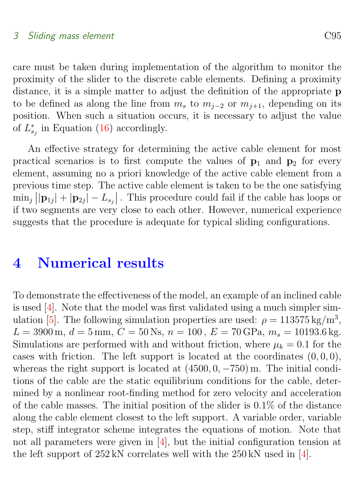#### <span id="page-9-1"></span>3 Sliding mass element C95

care must be taken during implementation of the algorithm to monitor the proximity of the slider to the discrete cable elements. Defining a proximity distance, it is a simple matter to adjust the definition of the appropriate **p** to be defined as along the line from  $m_s$  to  $m_{j-2}$  or  $m_{j+1}$ , depending on its position. When such a situation occurs, it is necessary to adjust the value of  $L_{s_j}^*$  in Equation [\(16\)](#page-7-2) accordingly.

An effective strategy for determining the active cable element for most practical scenarios is to first compute the values of  $p_1$  and  $p_2$  for every element, assuming no a priori knowledge of the active cable element from a previous time step. The active cable element is taken to be the one satisfying  $\min_j ||\mathbf{p}_{1j}|| + |\mathbf{p}_{2j}|-L_{s_j}||$ . This procedure could fail if the cable has loops or if two segments are very close to each other. However, numerical experience suggests that the procedure is adequate for typical sliding configurations.

## <span id="page-9-0"></span>4 Numerical results

To demonstrate the effectiveness of the model, an example of an inclined cable is used [\[4\]](#page-14-4). Note that the model was first validated using a much simpler sim-ulation [\[5\]](#page-14-5). The following simulation properties are used:  $\rho = 113575 \,\mathrm{kg/m^3}$ ,  $L = 3900 \,\mathrm{m}, d = 5 \,\mathrm{mm}, C = 50 \,\mathrm{Ns}, n = 100, E = 70 \,\mathrm{GPa}, m_s = 10193.6 \,\mathrm{kg}.$ Simulations are performed with and without friction, where  $\mu_k = 0.1$  for the cases with friction. The left support is located at the coordinates  $(0, 0, 0)$ , whereas the right support is located at  $(4500, 0, -750)$  m. The initial conditions of the cable are the static equilibrium conditions for the cable, determined by a nonlinear root-finding method for zero velocity and acceleration of the cable masses. The initial position of the slider is 0.1% of the distance along the cable element closest to the left support. A variable order, variable step, stiff integrator scheme integrates the equations of motion. Note that not all parameters were given in [\[4\]](#page-14-4), but the initial configuration tension at the left support of 252 kN correlates well with the 250 kN used in [\[4\]](#page-14-4).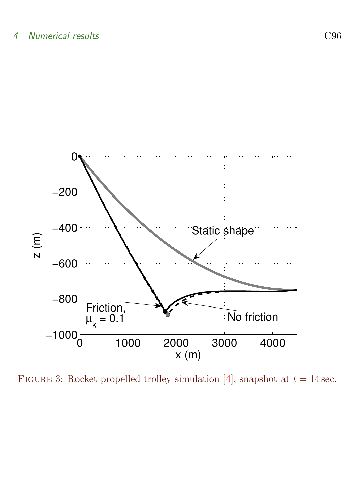<span id="page-10-1"></span>

<span id="page-10-0"></span>FIGURE 3: Rocket propelled trolley simulation [\[4\]](#page-14-4), snapshot at  $t = 14$  sec.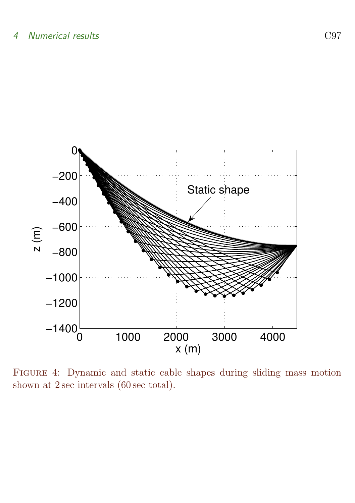

<span id="page-11-0"></span>Figure 4: Dynamic and static cable shapes during sliding mass motion shown at 2 sec intervals (60 sec total).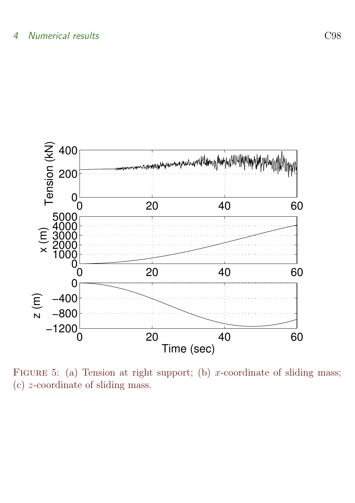

<span id="page-12-0"></span>FIGURE 5: (a) Tension at right support; (b) x-coordinate of sliding mass; (c) z-coordinate of sliding mass.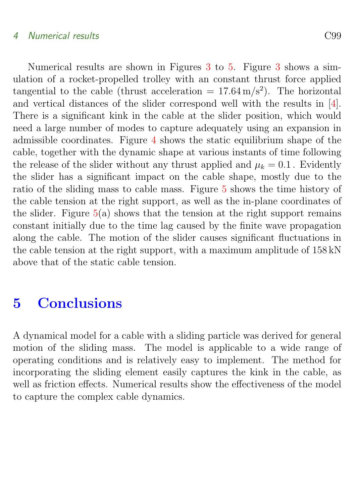#### <span id="page-13-1"></span>4 Numerical results C99

Numerical results are shown in Figures [3](#page-10-0) to [5.](#page-12-0) Figure [3](#page-10-0) shows a simulation of a rocket-propelled trolley with an constant thrust force applied tangential to the cable (thrust acceleration  $= 17.64 \,\mathrm{m/s^2}$ ). The horizontal and vertical distances of the slider correspond well with the results in [\[4\]](#page-14-4). There is a significant kink in the cable at the slider position, which would need a large number of modes to capture adequately using an expansion in admissible coordinates. Figure [4](#page-11-0) shows the static equilibrium shape of the cable, together with the dynamic shape at various instants of time following the release of the slider without any thrust applied and  $\mu_k = 0.1$ . Evidently the slider has a significant impact on the cable shape, mostly due to the ratio of the sliding mass to cable mass. Figure [5](#page-12-0) shows the time history of the cable tension at the right support, as well as the in-plane coordinates of the slider. Figure  $5(a)$  $5(a)$  shows that the tension at the right support remains constant initially due to the time lag caused by the finite wave propagation along the cable. The motion of the slider causes significant fluctuations in the cable tension at the right support, with a maximum amplitude of 158 kN above that of the static cable tension.

## <span id="page-13-0"></span>5 Conclusions

A dynamical model for a cable with a sliding particle was derived for general motion of the sliding mass. The model is applicable to a wide range of operating conditions and is relatively easy to implement. The method for incorporating the sliding element easily captures the kink in the cable, as well as friction effects. Numerical results show the effectiveness of the model to capture the complex cable dynamics.